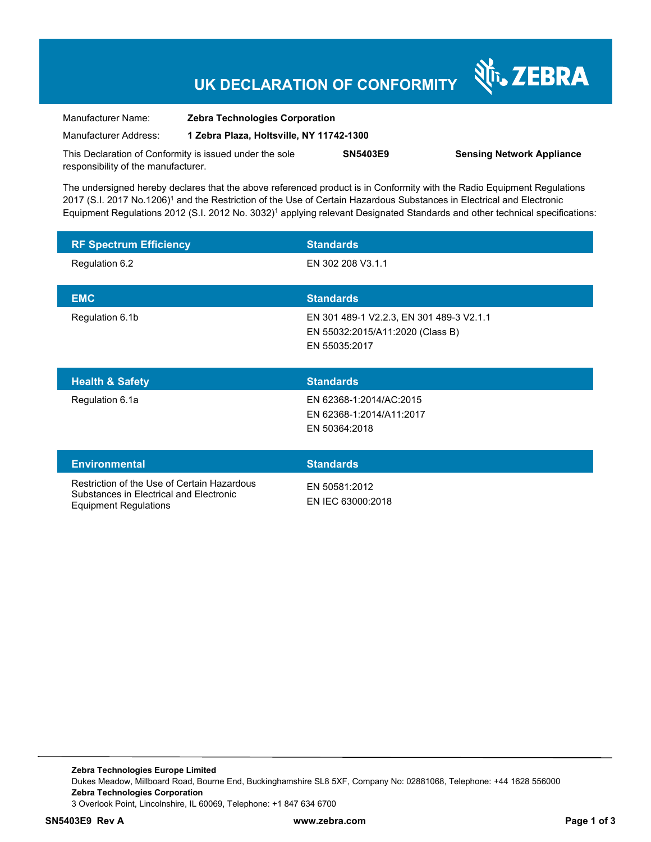## **UK DECLARATION OF CONFORMITY**

Nr. ZEBRA

| Manufacturer Name:                                      | <b>Zebra Technologies Corporation</b>    |                 |                                  |
|---------------------------------------------------------|------------------------------------------|-----------------|----------------------------------|
| Manufacturer Address:                                   | 1 Zebra Plaza, Holtsville, NY 11742-1300 |                 |                                  |
| This Declaration of Conformity is issued under the sole |                                          | <b>SN5403E9</b> | <b>Sensing Network Appliance</b> |
| responsibility of the manufacturer.                     |                                          |                 |                                  |

The undersigned hereby declares that the above referenced product is in Conformity with the Radio Equipment Regulations 2017 (S.I. 2017 No.1206)<sup>1</sup> and the Restriction of the Use of Certain Hazardous Substances in Electrical and Electronic Equipment Regulations 2012 (S.I. 2012 No. 3032)<sup>1</sup> applying relevant Designated Standards and other technical specifications:

| <b>RF Spectrum Efficiency</b> | <b>Standards</b>                                                                              |
|-------------------------------|-----------------------------------------------------------------------------------------------|
| Regulation 6.2                | EN 302 208 V3.1.1                                                                             |
| <b>EMC</b>                    | <b>Standards</b>                                                                              |
| Regulation 6.1b               | EN 301 489-1 V2.2.3, EN 301 489-3 V2.1.1<br>EN 55032:2015/A11:2020 (Class B)<br>EN 55035:2017 |
|                               |                                                                                               |
| <b>Health &amp; Safety</b>    | <b>Standards</b>                                                                              |
| Regulation 6.1a               | EN 62368-1:2014/AC:2015<br>EN 62368-1:2014/A11:2017<br>EN 50364:2018                          |
| <b>Environmental</b>          | <b>Standards</b>                                                                              |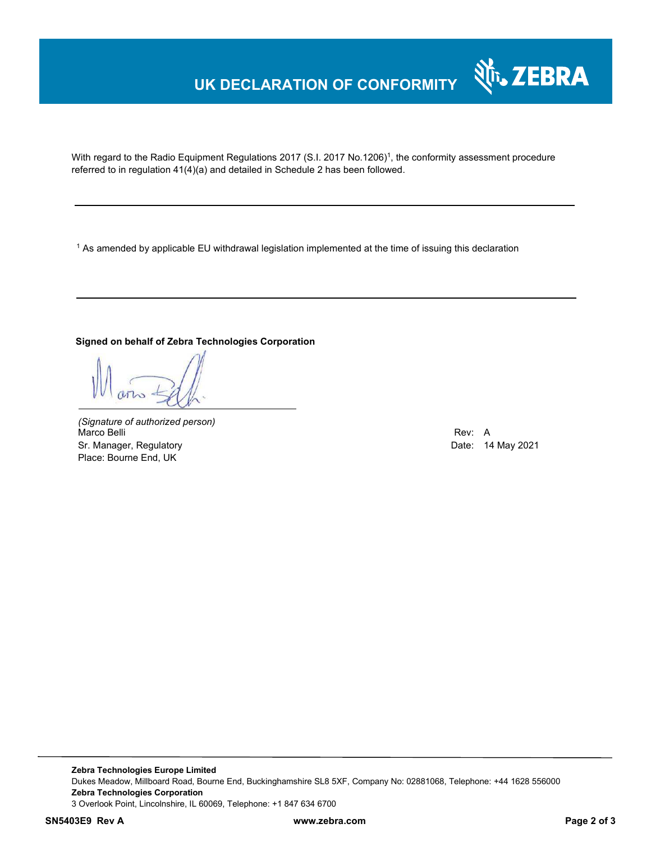### **UK DECLARATION OF CONFORMITY**

With regard to the Radio Equipment Regulations 2017 (S.I. 2017 No.1206)<sup>1</sup>, the conformity assessment procedure referred to in regulation 41(4)(a) and detailed in Schedule 2 has been followed.

1 As amended by applicable EU withdrawal legislation implemented at the time of issuing this declaration

#### **Signed on behalf of Zebra Technologies Corporation**

*(Signature of authorized person)* Marco Belli Rev: A Sr. Manager, Regulatory **Date: 14 May 2021** Place: Bourne End, UK

N<sub>T</sub>, ZEBRA